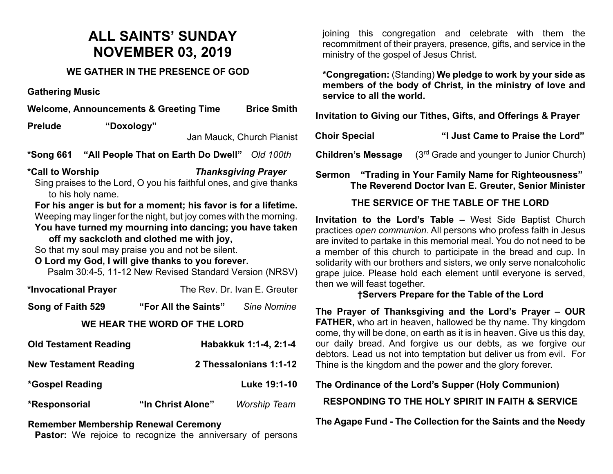# **ALL SAINTS' SUNDAY NOVEMBER 03, 2019**

### **WE GATHER IN THE PRESENCE OF GOD**

**Gathering Music**

|                  | <b>Welcome, Announcements &amp; Greeting Time</b>                                      | <b>Brice Smith</b>         |
|------------------|----------------------------------------------------------------------------------------|----------------------------|
| <b>Prelude</b>   | "Doxology"                                                                             |                            |
|                  | Jan Mauck, Church Pianist                                                              |                            |
| *Song 661        | "All People That on Earth Do Dwell" Old 100th                                          |                            |
| *Call to Worship |                                                                                        | <b>Thanksgiving Prayer</b> |
|                  | Sing praises to the Lord, O you his faithful ones, and give thanks<br>to his holy name |                            |

to his holy name. **For his anger is but for a moment; his favor is for a lifetime.**

Weeping may linger for the night, but joy comes with the morning.

**You have turned my mourning into dancing; you have taken off my sackcloth and clothed me with joy,**

So that my soul may praise you and not be silent.

## **O Lord my God, I will give thanks to you forever.**

Psalm 30:4-5, 11-12 New Revised Standard Version (NRSV)

| *Invocational Prayer | The Rev. Dr. Ivan E. Greuter |
|----------------------|------------------------------|
|----------------------|------------------------------|

**Song of Faith 529 "For All the Saints"** *Sine Nomine*

#### **WE HEAR THE WORD OF THE LORD**

| <b>Old Testament Reading</b> |                   | Habakkuk 1:1-4, 2:1-4  |
|------------------------------|-------------------|------------------------|
| <b>New Testament Reading</b> |                   | 2 Thessalonians 1:1-12 |
| *Gospel Reading              |                   | Luke 19:1-10           |
| *Responsorial                | "In Christ Alone" | <b>Worship Team</b>    |

#### **Remember Membership Renewal Ceremony**

Pastor: We rejoice to recognize the anniversary of persons

joining this congregation and celebrate with them the recommitment of their prayers, presence, gifts, and service in the ministry of the gospel of Jesus Christ.

**\*Congregation:** (Standing) **We pledge to work by your side as members of the body of Christ, in the ministry of love and service to all the world.**

**Invitation to Giving our Tithes, Gifts, and Offerings & Prayer**

| <b>Choir Special</b> | "I Just Came to Praise the Lord" |
|----------------------|----------------------------------|
|                      |                                  |

**Children's Message** (3<sup>rd</sup> Grade and younger to Junior Church)

**Sermon "Trading in Your Family Name for Righteousness" The Reverend Doctor Ivan E. Greuter, Senior Minister**

### **THE SERVICE OF THE TABLE OF THE LORD**

**Invitation to the Lord's Table –** West Side Baptist Church practices *open communion*. All persons who profess faith in Jesus are invited to partake in this memorial meal. You do not need to be a member of this church to participate in the bread and cup. In solidarity with our brothers and sisters, we only serve nonalcoholic grape juice. Please hold each element until everyone is served, then we will feast together.

#### **†Servers Prepare for the Table of the Lord**

**The Prayer of Thanksgiving and the Lord's Prayer – OUR FATHER,** who art in heaven, hallowed be thy name. Thy kingdom come, thy will be done, on earth as it is in heaven. Give us this day, our daily bread. And forgive us our debts, as we forgive our debtors. Lead us not into temptation but deliver us from evil. For Thine is the kingdom and the power and the glory forever.

**The Ordinance of the Lord's Supper (Holy Communion)**

**RESPONDING TO THE HOLY SPIRIT IN FAITH & SERVICE**

**The Agape Fund - The Collection for the Saints and the Needy**